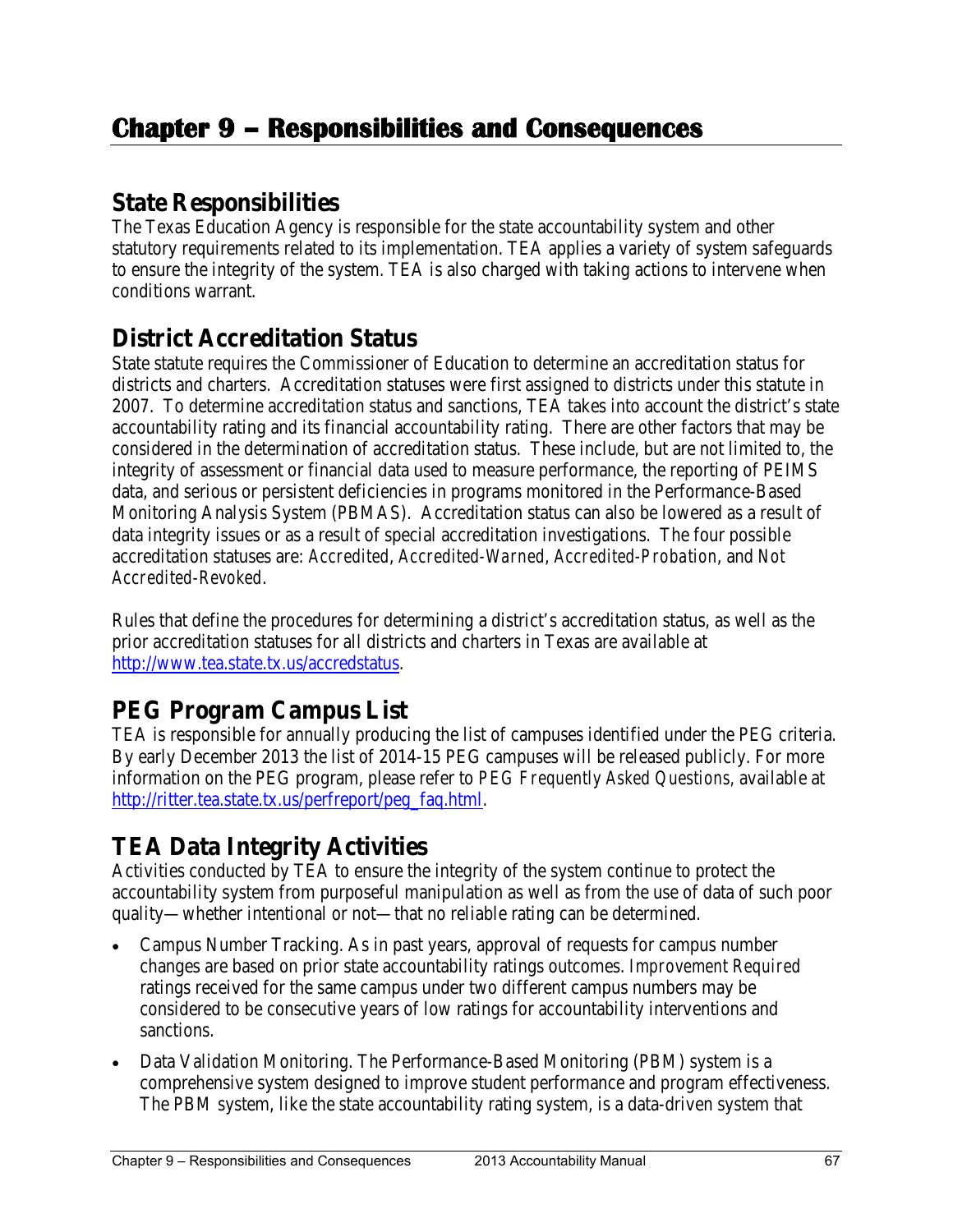### **State Responsibilities**

The Texas Education Agency is responsible for the state accountability system and other statutory requirements related to its implementation. TEA applies a variety of system safeguards to ensure the integrity of the system. TEA is also charged with taking actions to intervene when conditions warrant.

### **District Accreditation Status**

State statute requires the Commissioner of Education to determine an accreditation status for districts and charters. Accreditation statuses were first assigned to districts under this statute in 2007. To determine accreditation status and sanctions, TEA takes into account the district's state accountability rating and its financial accountability rating. There are other factors that may be considered in the determination of accreditation status. These include, but are not limited to, the integrity of assessment or financial data used to measure performance, the reporting of PEIMS data, and serious or persistent deficiencies in programs monitored in the Performance-Based Monitoring Analysis System (PBMAS). Accreditation status can also be lowered as a result of data integrity issues or as a result of special accreditation investigations. The four possible accreditation statuses are: *Accredited*, *Accredited-Warned*, *Accredited-Probation*, and *Not Accredited-Revoked*.

Rules that define the procedures for determining a district's accreditation status, as well as the prior accreditation statuses for all districts and charters in Texas are available at [http://www.tea.state.tx.us/accredstatus.](http://www.tea.state.tx.us/accredstatus)

# **PEG Program Campus List**

TEA is responsible for annually producing the list of campuses identified under the PEG criteria. By early December 2013 the list of 2014-15 PEG campuses will be released publicly. For more information on the PEG program, please refer to *PEG Frequently Asked Questions,* available at [http://ritter.tea.state.tx.us/perfreport/peg\\_faq.html.](http://ritter.tea.state.tx.us/perfreport/peg_faq.html)

## **TEA Data Integrity Activities**

Activities conducted by TEA to ensure the integrity of the system continue to protect the accountability system from purposeful manipulation as well as from the use of data of such poor quality—whether intentional or not—that no reliable rating can be determined.

- Campus Number Tracking. As in past years, approval of requests for campus number changes are based on prior state accountability ratings outcomes. *Improvement Required* ratings received for the same campus under two different campus numbers may be considered to be consecutive years of low ratings for accountability interventions and sanctions.
- Data Validation Monitoring. The Performance-Based Monitoring (PBM) system is a comprehensive system designed to improve student performance and program effectiveness. The PBM system, like the state accountability rating system, is a data-driven system that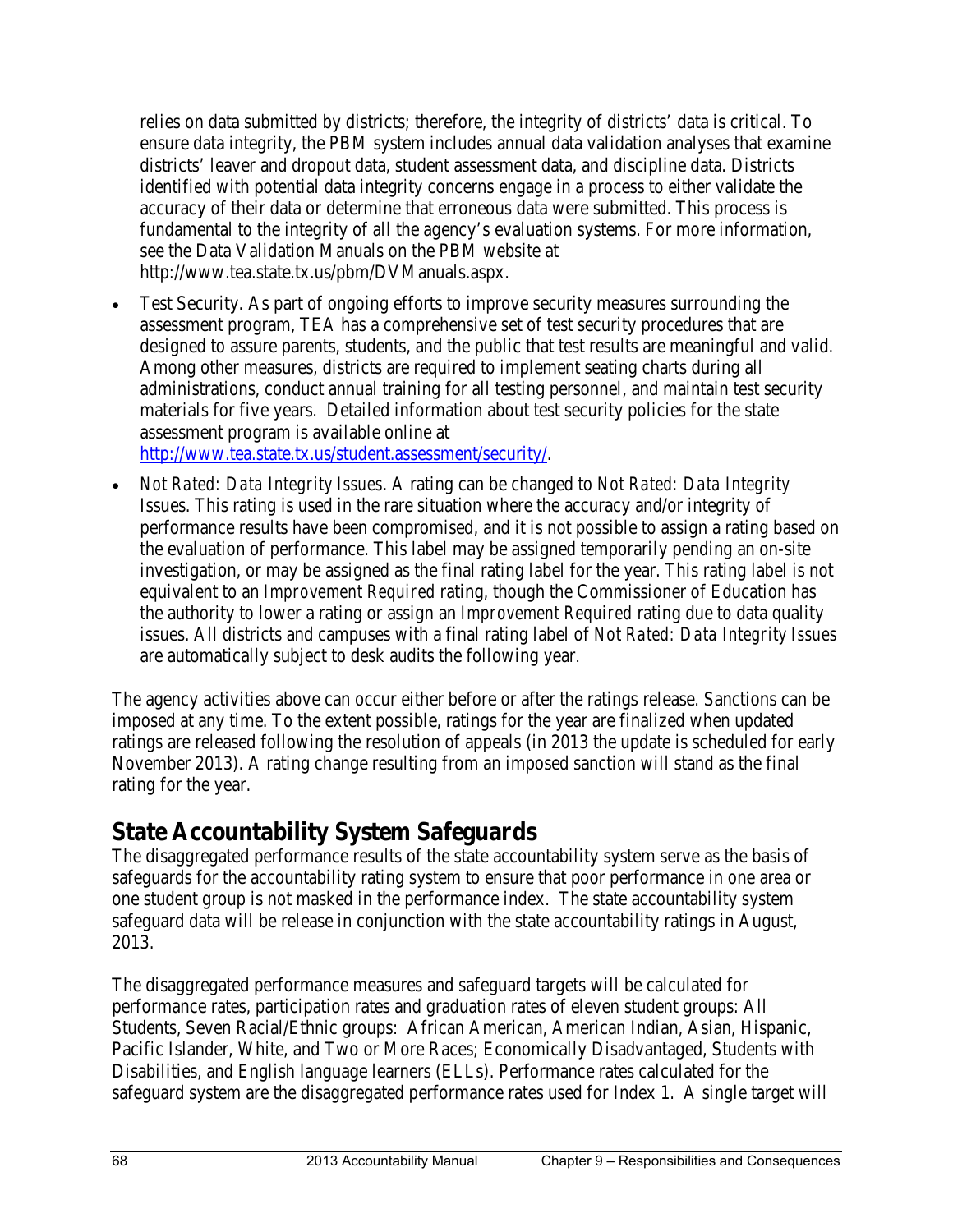relies on data submitted by districts; therefore, the integrity of districts' data is critical. To ensure data integrity, the PBM system includes annual data validation analyses that examine districts' leaver and dropout data, student assessment data, and discipline data. Districts identified with potential data integrity concerns engage in a process to either validate the accuracy of their data or determine that erroneous data were submitted. This process is fundamental to the integrity of all the agency's evaluation systems. For more information, see the Data Validation Manuals on the PBM website at [http://www.tea.state.tx.us/pbm/DVManuals.aspx.](http://www.tea.state.tx.us/pbm/DVManuals.aspx)

• Test Security. As part of ongoing efforts to improve security measures surrounding the assessment program, TEA has a comprehensive set of test security procedures that are designed to assure parents, students, and the public that test results are meaningful and valid. Among other measures, districts are required to implement seating charts during all administrations, conduct annual training for all testing personnel, and maintain test security materials for five years. Detailed information about test security policies for the state assessment program is available online at

[http://www.tea.state.tx.us/student.assessment/security/.](http://www.tea.state.tx.us/student.assessment/security/)

• *Not Rated: Data Integrity Issues*. A rating can be changed to *Not Rated: Data Integrity* Issues. This rating is used in the rare situation where the accuracy and/or integrity of performance results have been compromised, and it is not possible to assign a rating based on the evaluation of performance. This label may be assigned temporarily pending an on-site investigation, or may be assigned as the final rating label for the year. This rating label is not equivalent to an *Improvement Required* rating, though the Commissioner of Education has the authority to lower a rating or assign an *Improvement Required* rating due to data quality issues. All districts and campuses with a final rating label of *Not Rated: Data Integrity Issues* are automatically subject to desk audits the following year.

The agency activities above can occur either before or after the ratings release. Sanctions can be imposed at any time. To the extent possible, ratings for the year are finalized when updated ratings are released following the resolution of appeals (in 2013 the update is scheduled for early November 2013). A rating change resulting from an imposed sanction will stand as the final rating for the year.

## **State Accountability System Safeguards**

The disaggregated performance results of the state accountability system serve as the basis of safeguards for the accountability rating system to ensure that poor performance in one area or one student group is not masked in the performance index. The state accountability system safeguard data will be release in conjunction with the state accountability ratings in August, 2013.

The disaggregated performance measures and safeguard targets will be calculated for performance rates, participation rates and graduation rates of eleven student groups: All Students, Seven Racial/Ethnic groups: African American, American Indian, Asian, Hispanic, Pacific Islander, White, and Two or More Races; Economically Disadvantaged, Students with Disabilities, and English language learners (ELLs). Performance rates calculated for the safeguard system are the disaggregated performance rates used for Index 1. A single target will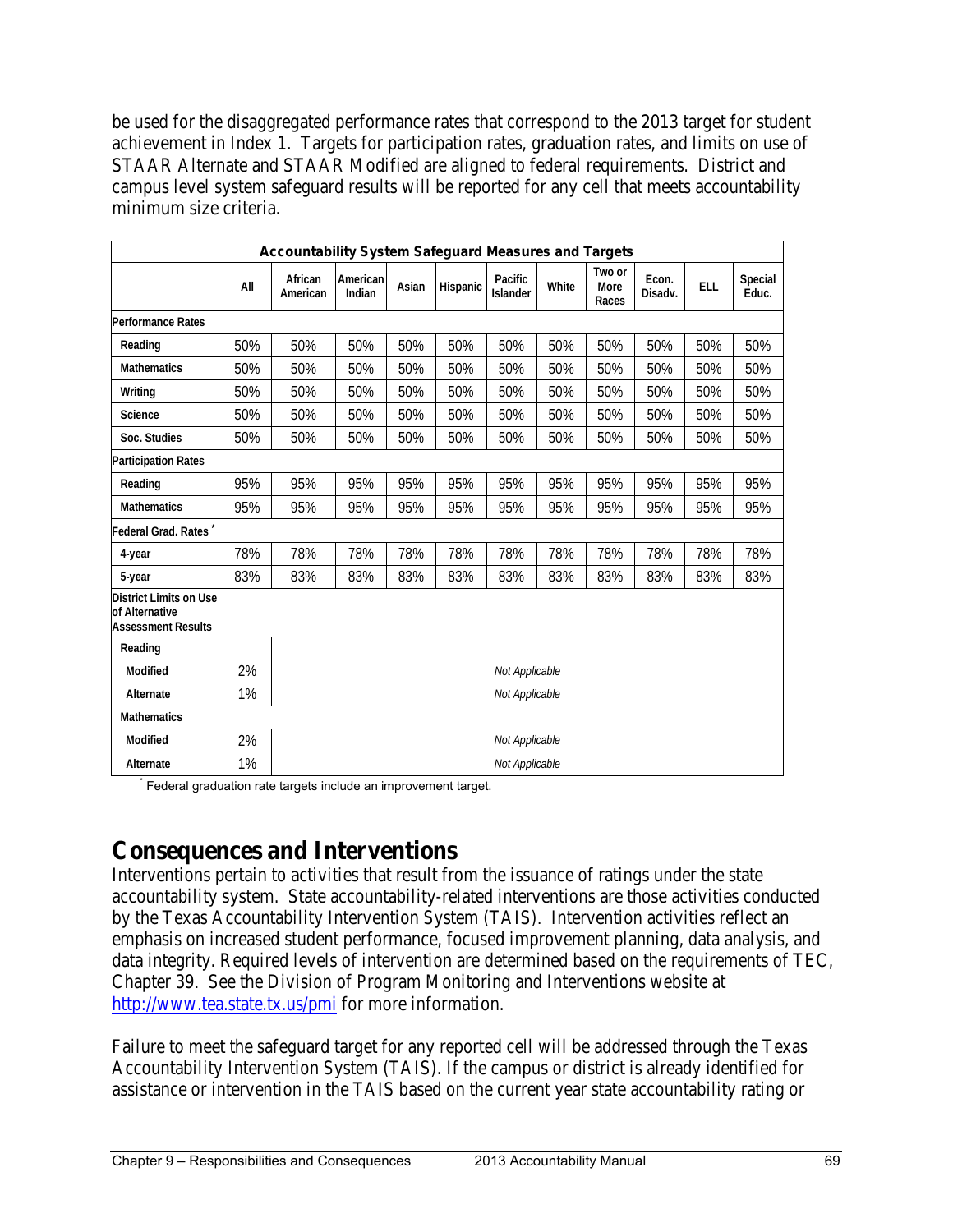be used for the disaggregated performance rates that correspond to the 2013 target for student achievement in Index 1. Targets for participation rates, graduation rates, and limits on use of STAAR Alternate and STAAR Modified are aligned to federal requirements. District and campus level system safeguard results will be reported for any cell that meets accountability minimum size criteria.

| <b>Accountability System Safequard Measures and Targets</b>                         |     |                     |                    |       |          |                            |       |                         |                  |            |                  |  |
|-------------------------------------------------------------------------------------|-----|---------------------|--------------------|-------|----------|----------------------------|-------|-------------------------|------------------|------------|------------------|--|
|                                                                                     | All | African<br>American | American<br>Indian | Asian | Hispanic | Pacific<br><b>Islander</b> | White | Two or<br>More<br>Races | Econ.<br>Disadv. | <b>ELL</b> | Special<br>Educ. |  |
| <b>Performance Rates</b>                                                            |     |                     |                    |       |          |                            |       |                         |                  |            |                  |  |
| Reading                                                                             | 50% | 50%                 | 50%                | 50%   | 50%      | 50%                        | 50%   | 50%                     | 50%              | 50%        | 50%              |  |
| <b>Mathematics</b>                                                                  | 50% | 50%                 | 50%                | 50%   | 50%      | 50%                        | 50%   | 50%                     | 50%              | 50%        | 50%              |  |
| Writing                                                                             | 50% | 50%                 | 50%                | 50%   | 50%      | 50%                        | 50%   | 50%                     | 50%              | 50%        | 50%              |  |
| <b>Science</b>                                                                      | 50% | 50%                 | 50%                | 50%   | 50%      | 50%                        | 50%   | 50%                     | 50%              | 50%        | 50%              |  |
| Soc. Studies                                                                        | 50% | 50%                 | 50%                | 50%   | 50%      | 50%                        | 50%   | 50%                     | 50%              | 50%        | 50%              |  |
| <b>Participation Rates</b>                                                          |     |                     |                    |       |          |                            |       |                         |                  |            |                  |  |
| Reading                                                                             | 95% | 95%                 | 95%                | 95%   | 95%      | 95%                        | 95%   | 95%                     | 95%              | 95%        | 95%              |  |
| <b>Mathematics</b>                                                                  | 95% | 95%                 | 95%                | 95%   | 95%      | 95%                        | 95%   | 95%                     | 95%              | 95%        | 95%              |  |
| Federal Grad. Rates <sup>*</sup>                                                    |     |                     |                    |       |          |                            |       |                         |                  |            |                  |  |
| 4-year                                                                              | 78% | 78%                 | 78%                | 78%   | 78%      | 78%                        | 78%   | 78%                     | 78%              | 78%        | 78%              |  |
| 5-year                                                                              | 83% | 83%                 | 83%                | 83%   | 83%      | 83%                        | 83%   | 83%                     | 83%              | 83%        | 83%              |  |
| <b>District Limits on Use</b><br><b>of Alternative</b><br><b>Assessment Results</b> |     |                     |                    |       |          |                            |       |                         |                  |            |                  |  |
| Reading                                                                             |     |                     |                    |       |          |                            |       |                         |                  |            |                  |  |
| Modified                                                                            | 2%  | Not Applicable      |                    |       |          |                            |       |                         |                  |            |                  |  |
| Alternate                                                                           | 1%  | Not Applicable      |                    |       |          |                            |       |                         |                  |            |                  |  |
| <b>Mathematics</b>                                                                  |     |                     |                    |       |          |                            |       |                         |                  |            |                  |  |
| Modified                                                                            | 2%  | Not Applicable      |                    |       |          |                            |       |                         |                  |            |                  |  |
| Alternate                                                                           | 1%  | Not Applicable      |                    |       |          |                            |       |                         |                  |            |                  |  |

Federal graduation rate targets include an improvement target.

### **Consequences and Interventions**

Interventions pertain to activities that result from the issuance of ratings under the state accountability system. State accountability-related interventions are those activities conducted by the Texas Accountability Intervention System (TAIS). Intervention activities reflect an emphasis on increased student performance, focused improvement planning, data analysis, and data integrity. Required levels of intervention are determined based on the requirements of TEC, Chapter 39. See the Division of Program Monitoring and Interventions website at <http://www.tea.state.tx.us/pmi> for more information.

Failure to meet the safeguard target for any reported cell will be addressed through the Texas Accountability Intervention System (TAIS). If the campus or district is already identified for assistance or intervention in the TAIS based on the current year state accountability rating or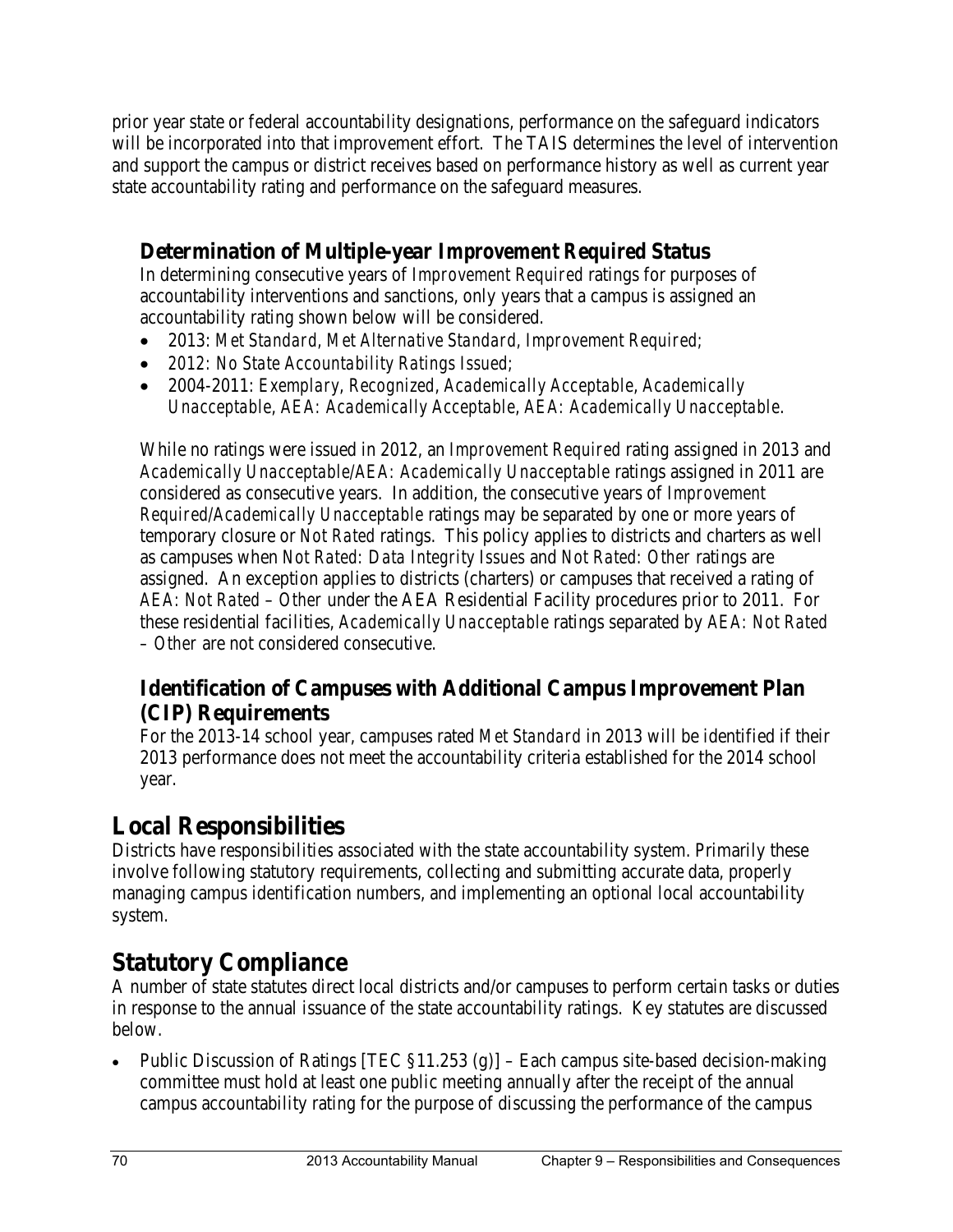prior year state or federal accountability designations, performance on the safeguard indicators will be incorporated into that improvement effort. The TAIS determines the level of intervention and support the campus or district receives based on performance history as well as current year state accountability rating and performance on the safeguard measures.

#### **Determination of Multiple-year** *Improvement Required* **Status**

In determining consecutive years of *Improvement Required* ratings for purposes of accountability interventions and sanctions, only years that a campus is assigned an accountability rating shown below will be considered.

- 2013: *Met Standard, Met Alternative Standard, Improvement Required;*
- *2012: No State Accountability Ratings Issued;*
- 2004-2011: *Exemplary*, *Recognized*, *Academically Acceptable*, *Academically Unacceptable*, *AEA: Academically Acceptable*, *AEA: Academically Unacceptable*.

While no ratings were issued in 2012, an *Improvement Required* rating assigned in 2013 and *Academically Unacceptable/AEA: Academically Unacceptable* ratings assigned in 2011 are considered as consecutive years. In addition, the consecutive years of *Improvement Required/Academically Unacceptable* ratings may be separated by one or more years of temporary closure or *Not Rated* ratings. This policy applies to districts and charters as well as campuses when *Not Rated: Data Integrity Issues* and *Not Rated: Other* ratings are assigned. An exception applies to districts (charters) or campuses that received a rating of *AEA: Not Rated* – *Other* under the AEA Residential Facility procedures prior to 2011. For these residential facilities, *Academically Unacceptable* ratings separated by *AEA: Not Rated – Other* are not considered consecutive.

#### **Identification of Campuses with Additional Campus Improvement Plan (CIP) Requirements**

For the 2013-14 school year, campuses rated *Met Standard* in 2013 will be identified if their 2013 performance does not meet the accountability criteria established for the 2014 school year.

# **Local Responsibilities**

Districts have responsibilities associated with the state accountability system. Primarily these involve following statutory requirements, collecting and submitting accurate data, properly managing campus identification numbers, and implementing an optional local accountability system.

# **Statutory Compliance**

A number of state statutes direct local districts and/or campuses to perform certain tasks or duties in response to the annual issuance of the state accountability ratings. Key statutes are discussed below.

• Public Discussion of Ratings [TEC §11.253 (g)] – Each campus site-based decision-making committee must hold at least one public meeting annually after the receipt of the annual campus accountability rating for the purpose of discussing the performance of the campus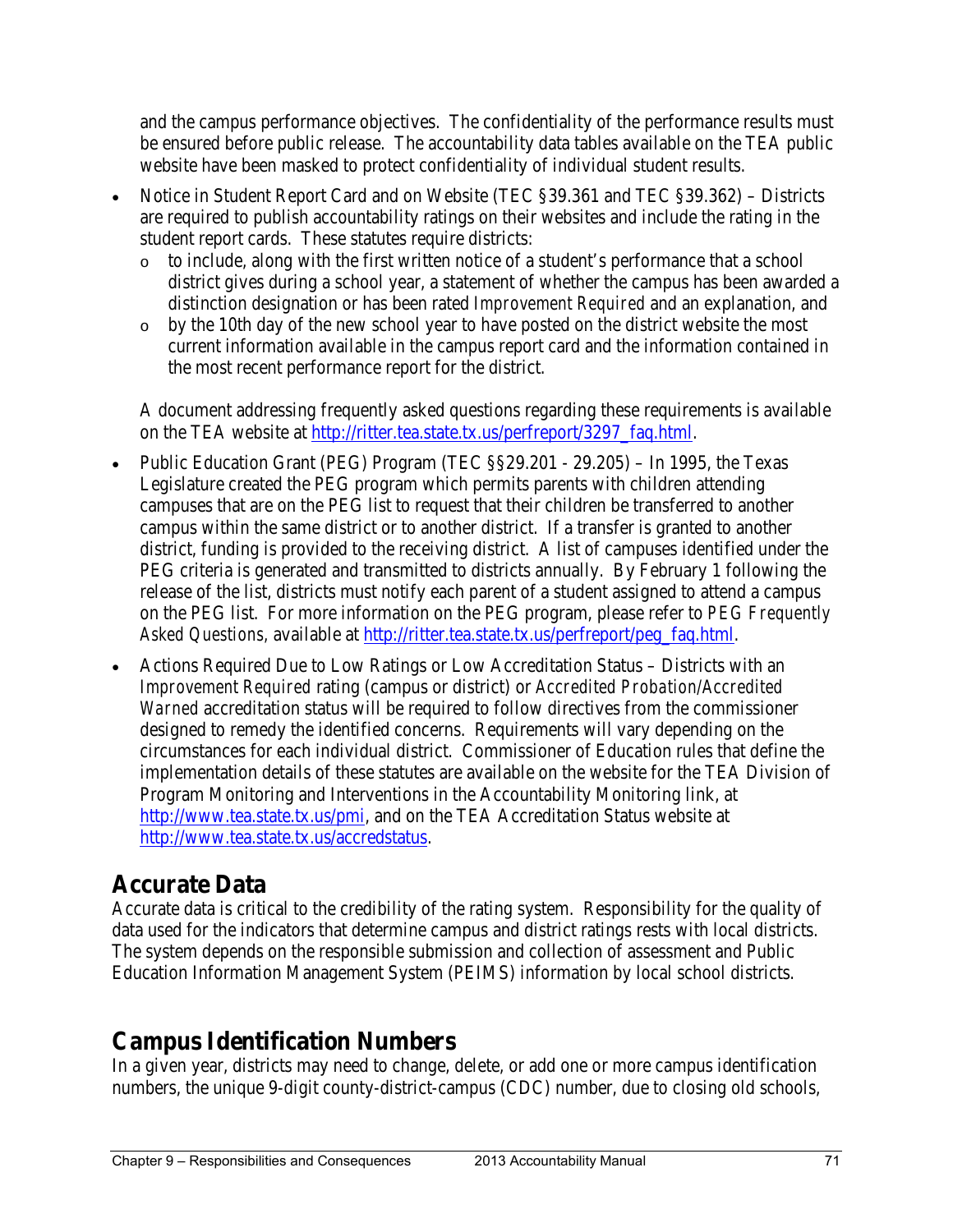and the campus performance objectives. The confidentiality of the performance results must be ensured before public release. The accountability data tables available on the TEA public website have been masked to protect confidentiality of individual student results.

- Notice in Student Report Card and on Website (TEC §39.361 and TEC §39.362) Districts are required to publish accountability ratings on their websites and include the rating in the student report cards. These statutes require districts:
	- o to include, along with the first written notice of a student's performance that a school district gives during a school year, a statement of whether the campus has been awarded a distinction designation or has been rated *Improvement Required* and an explanation, and
	- o by the 10th day of the new school year to have posted on the district website the most current information available in the campus report card and the information contained in the most recent performance report for the district.

A document addressing frequently asked questions regarding these requirements is available on the TEA website at [http://ritter.tea.state.tx.us/perfreport/3297\\_faq.html.](http://ritter.tea.state.tx.us/perfreport/3297_faq.html)

- Public Education Grant (PEG) Program (TEC §§29.201 29.205) In 1995, the Texas Legislature created the PEG program which permits parents with children attending campuses that are on the PEG list to request that their children be transferred to another campus within the same district or to another district. If a transfer is granted to another district, funding is provided to the receiving district. A list of campuses identified under the PEG criteria is generated and transmitted to districts annually. By February 1 following the release of the list, districts must notify each parent of a student assigned to attend a campus on the PEG list. For more information on the PEG program, please refer to *PEG Frequently Asked Questions,* available at [http://ritter.tea.state.tx.us/perfreport/peg\\_faq.html.](http://ritter.tea.state.tx.us/perfreport/peg_faq.html)
- Actions Required Due to Low Ratings or Low Accreditation Status Districts with an *Improvement Required* rating (campus or district) or *Accredited Probation/Accredited Warned* accreditation status will be required to follow directives from the commissioner designed to remedy the identified concerns. Requirements will vary depending on the circumstances for each individual district. Commissioner of Education rules that define the implementation details of these statutes are available on the website for the TEA Division of Program Monitoring and Interventions in the Accountability Monitoring link, at [http://www.tea.state.tx.us/pmi,](http://www.tea.state.tx.us/pmi) and on the TEA Accreditation Status website at [http://www.tea.state.tx.us/accredstatus.](http://www.tea.state.tx.us/accredstatus)

## **Accurate Data**

Accurate data is critical to the credibility of the rating system. Responsibility for the quality of data used for the indicators that determine campus and district ratings rests with local districts. The system depends on the responsible submission and collection of assessment and Public Education Information Management System (PEIMS) information by local school districts.

# **Campus Identification Numbers**

In a given year, districts may need to change, delete, or add one or more campus identification numbers, the unique 9-digit county-district-campus (CDC) number, due to closing old schools,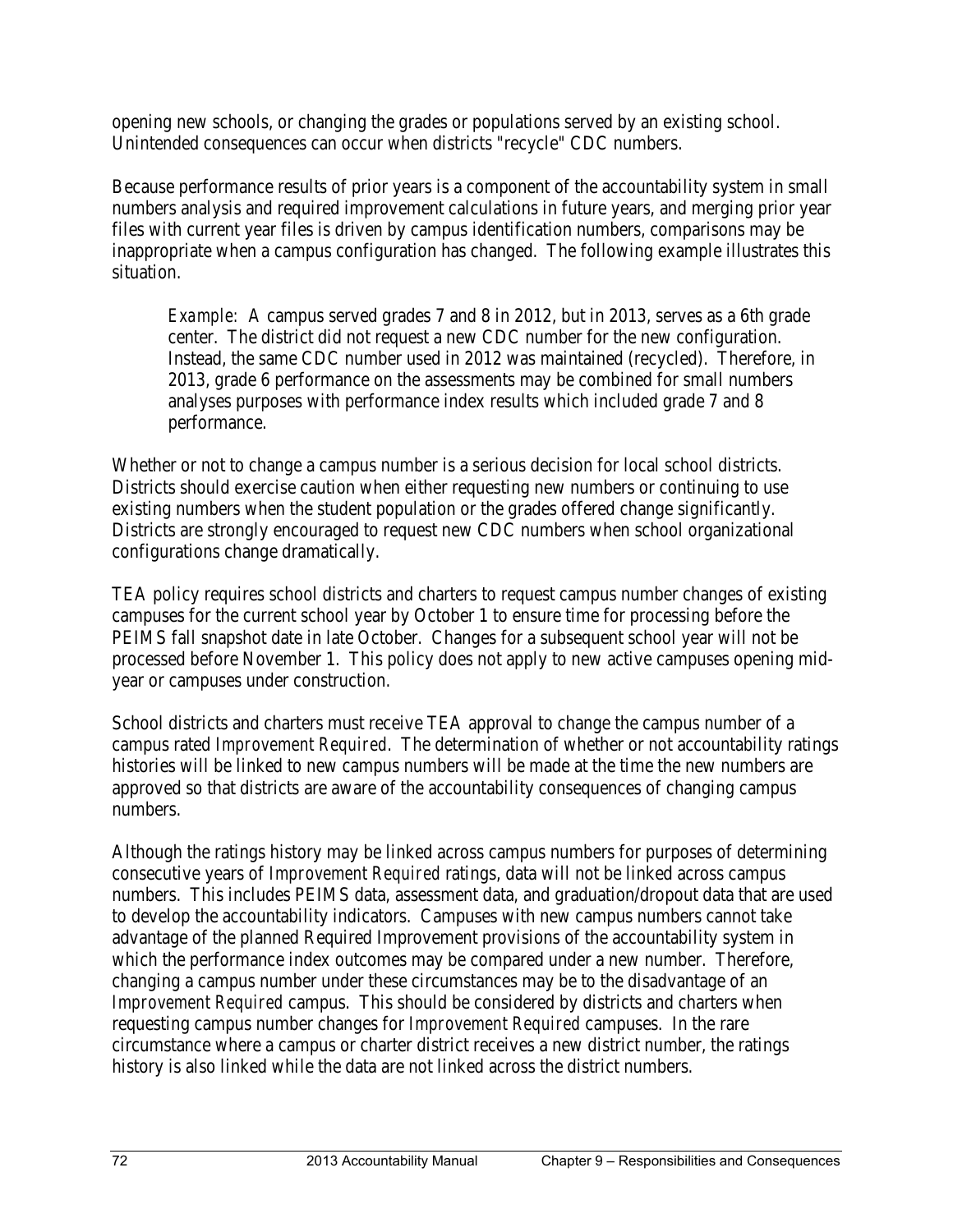opening new schools, or changing the grades or populations served by an existing school. Unintended consequences can occur when districts "recycle" CDC numbers.

Because performance results of prior years is a component of the accountability system in small numbers analysis and required improvement calculations in future years, and merging prior year files with current year files is driven by campus identification numbers, comparisons may be inappropriate when a campus configuration has changed. The following example illustrates this situation.

*Example:* A campus served grades 7 and 8 in 2012, but in 2013, serves as a 6th grade center. The district did not request a new CDC number for the new configuration. Instead, the same CDC number used in 2012 was maintained (recycled). Therefore, in 2013, grade 6 performance on the assessments may be combined for small numbers analyses purposes with performance index results which included grade 7 and 8 performance.

Whether or not to change a campus number is a serious decision for local school districts. Districts should exercise caution when either requesting new numbers or continuing to use existing numbers when the student population or the grades offered change significantly. Districts are strongly encouraged to request new CDC numbers when school organizational configurations change dramatically.

TEA policy requires school districts and charters to request campus number changes of existing campuses for the current school year by October 1 to ensure time for processing before the PEIMS fall snapshot date in late October. Changes for a subsequent school year will not be processed before November 1. This policy does not apply to new active campuses opening midyear or campuses under construction.

School districts and charters must receive TEA approval to change the campus number of a campus rated *Improvement Required*. The determination of whether or not accountability ratings histories will be linked to new campus numbers will be made at the time the new numbers are approved so that districts are aware of the accountability consequences of changing campus numbers.

Although the ratings history may be linked across campus numbers for purposes of determining consecutive years of *Improvement Required* ratings, data will not be linked across campus numbers. This includes PEIMS data, assessment data, and graduation/dropout data that are used to develop the accountability indicators. Campuses with new campus numbers cannot take advantage of the planned Required Improvement provisions of the accountability system in which the performance index outcomes may be compared under a new number. Therefore, changing a campus number under these circumstances may be to the disadvantage of an *Improvement Required* campus. This should be considered by districts and charters when requesting campus number changes for *Improvement Required* campuses. In the rare circumstance where a campus or charter district receives a new district number, the ratings history is also linked while the data are not linked across the district numbers.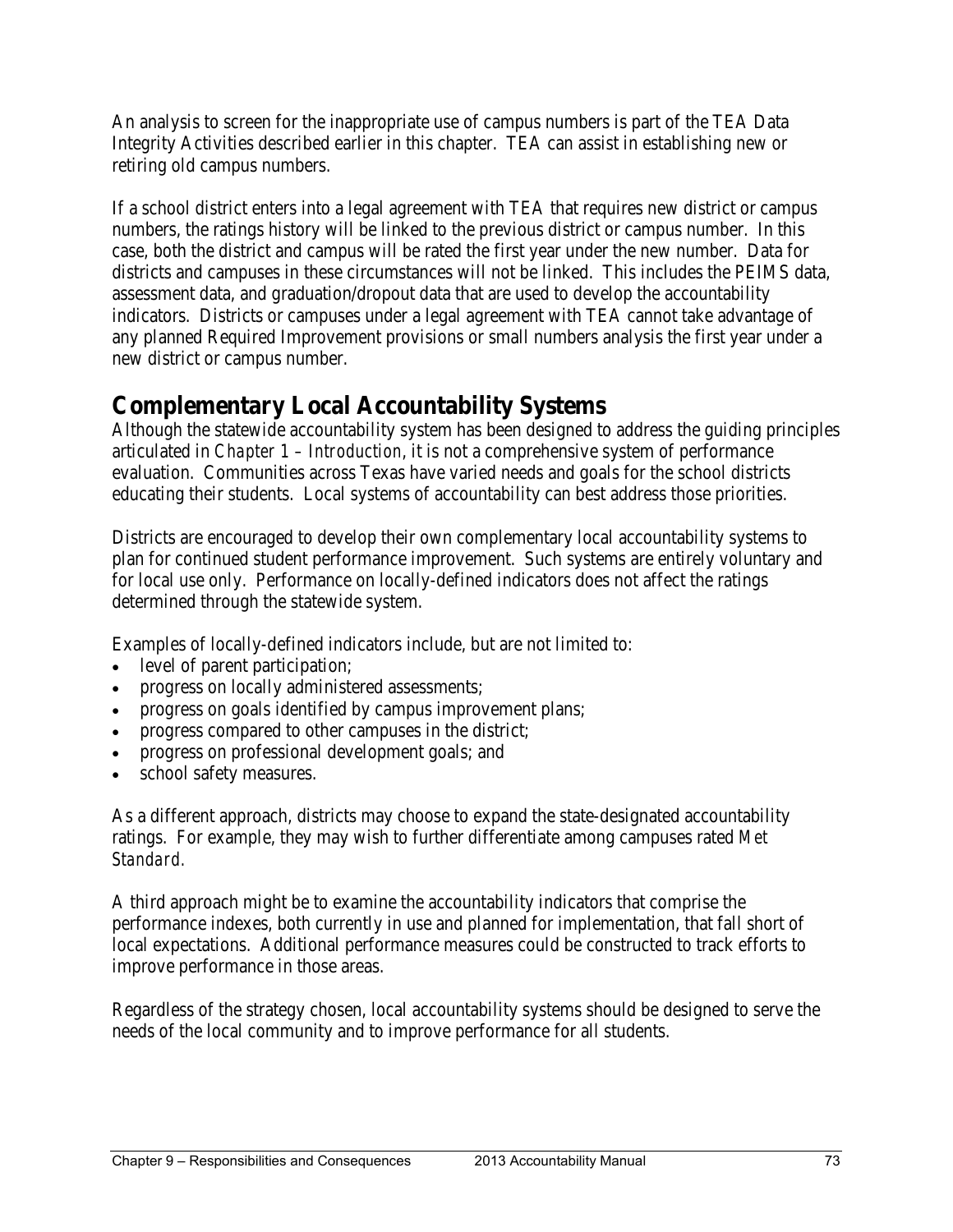An analysis to screen for the inappropriate use of campus numbers is part of the TEA Data Integrity Activities described earlier in this chapter. TEA can assist in establishing new or retiring old campus numbers.

If a school district enters into a legal agreement with TEA that requires new district or campus numbers, the ratings history will be linked to the previous district or campus number. In this case, both the district and campus will be rated the first year under the new number. Data for districts and campuses in these circumstances will not be linked. This includes the PEIMS data, assessment data, and graduation/dropout data that are used to develop the accountability indicators. Districts or campuses under a legal agreement with TEA cannot take advantage of any planned Required Improvement provisions or small numbers analysis the first year under a new district or campus number.

### **Complementary Local Accountability Systems**

Although the statewide accountability system has been designed to address the guiding principles articulated in *Chapter 1 – Introduction*, it is not a comprehensive system of performance evaluation. Communities across Texas have varied needs and goals for the school districts educating their students. Local systems of accountability can best address those priorities.

Districts are encouraged to develop their own complementary local accountability systems to plan for continued student performance improvement. Such systems are entirely voluntary and for local use only. Performance on locally-defined indicators does not affect the ratings determined through the statewide system.

Examples of locally-defined indicators include, but are not limited to:

- level of parent participation;
- progress on locally administered assessments;
- progress on goals identified by campus improvement plans;
- progress compared to other campuses in the district;
- progress on professional development goals; and
- school safety measures.

As a different approach, districts may choose to expand the state-designated accountability ratings. For example, they may wish to further differentiate among campuses rated *Met Standard.* 

A third approach might be to examine the accountability indicators that comprise the performance indexes, both currently in use and planned for implementation, that fall short of local expectations. Additional performance measures could be constructed to track efforts to improve performance in those areas.

Regardless of the strategy chosen, local accountability systems should be designed to serve the needs of the local community and to improve performance for all students.